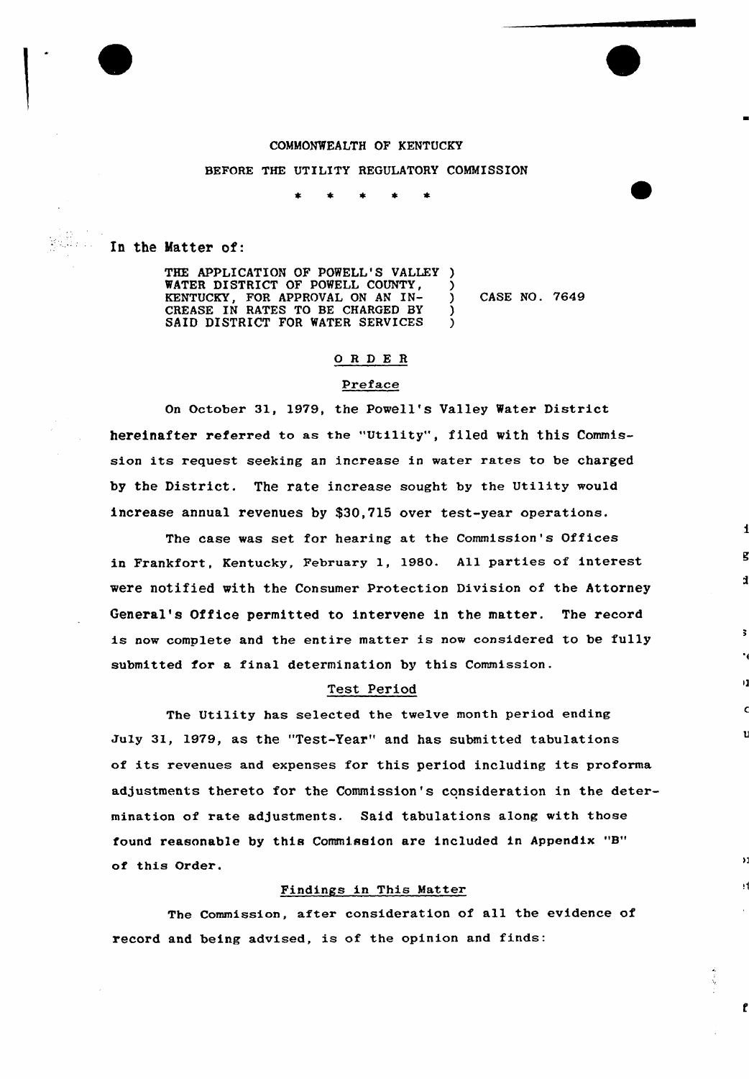#### COMMONWEALTH OF KENTUCKY

#### BEFORE THE UTILITY REGULATORY COMMISSION

In the Matter of:

THE APPLICATION OF POWELL'S VALLEY ) WATER DISTRICT OF POWELL COUNTY,  $\overline{)}$ <br>KENTUCKY, FOR APPROVAL ON AN IN-KENTUCKY, FOR APPROVAL ON AN IN- ) CREASE IN RATES TO BE CHARGED BY ) SAID DISTRICT FOR WATER SERVICES ) CASE NO. 7649

## 0 R <sup>D</sup> E R

#### Preface

On October 31, 1979, the Povell's Valley Water District hereinafter referred to as the "Utility", filed vith this Commission its request seeking an increase in water rates to be charged by the District. The rate increase sought by the Utility would increase annual revenues by \$30,715 over test-year operations.

The case was set for hearing at the Commission's Offices in Frankfort, Kentucky, February 1, 1980. All parties of interest vere notified vith the Consumer Protection Division of the Attorney General's Office permitted to intervene in the matter. The record is now complete and the entire matter is now considered to be fully submitted for a final determination by this Commission.

#### Test Period

The Utility has selected the twelve month period ending July 31, 1979, as the "Test-Year" and has submitted tabulations of its revenues and expenses for this period including its proforma adjustments thereto for the Commission's consideration in the determination of rate adjustments. Said tabulations along with those found reasonable by this Commission are included in Appendix "B" of this Order.

### Findings in This Matter

The Commission, after consideration of all the evidence of record and being advised, is of the opinion and finds:

f



 $\mathcal{P}(\mathcal{X})\geq 1$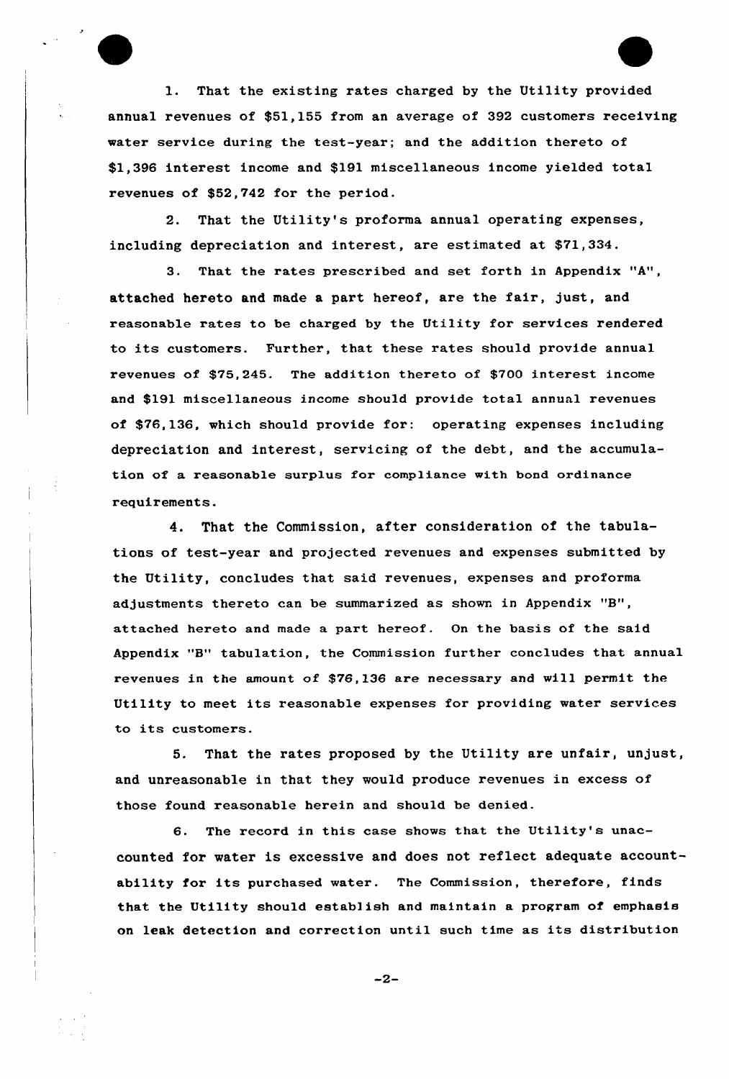1. That the existing rates charged by the Utility provided annual revenues of \$51,155 from an average of 392 customers receiving water service during the test-year; and the addition thereto of \$1,396 interest income and \$191 miscellaneous income yielded total revenues of \$52,742 for the period.

2. That the Utility's proforma annual operating expenses, including depreciation and interest, are estimated at \$71,334.

3. That the rates prescribed and set forth in Appendix "A", attached hereto and made a part hereof, are the fair, just, and reasonable rates to be charged by the Utility for services rendered to its customers. Further, that these rates should provide annual x'evenues of \$75,245. The addition thereto of \$700 interest income and \$191 miscellaneous income should provide total annual revenues of \$76,136, which should provide for: operating expenses including depreciation and interest, servicing of the debt, and the accumulation of a reasonable surplus for compliance with bond ordinance requirements.

4. That the Commission, after consideration of the tabulations of test-year and projected revenues and expenses submitted by the Utility, concludes that said revenues, expenses and proforma adjustments thereto can be summarized as shown in Appendix "B"" attached hereto and made a part hereof. On the basis of the said Appendix "8" tabulation, the Commission further concludes that annual revenues in the amount of \$76,136 are necessary and will permit the Utility to meet its reasonable expenses for providing water services to its customers.

5. That the rates proposed by the Utility are unfair, unjust, and unreasonable in that they would produce revenues in excess of those found reasonable herein and should be denied.

6. The record in this case shows that the Utility's unaccounted for water is excessive and does not reflect adequate accountability for its purchased water. The Commission, therefore, finds that the Utility should establish and maintain a program of emphasis on leak detection and correction until such time as its distribution

 $-2-$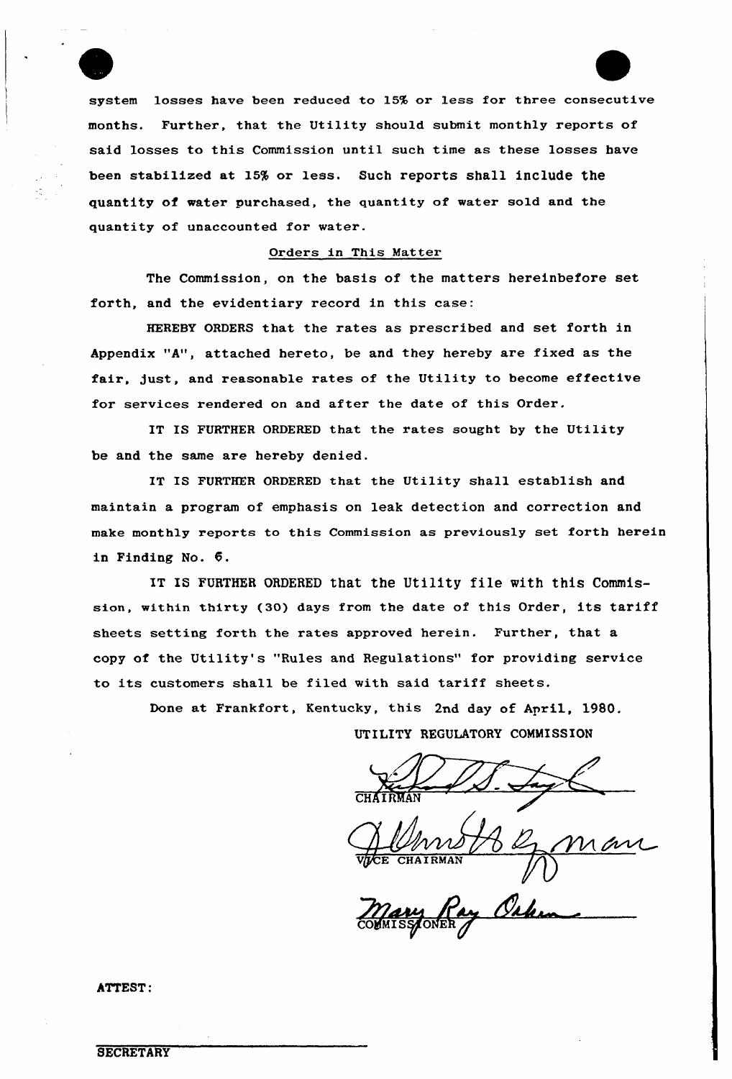system losses have been reduced to 15% or less for three consecutive months. Further, that the Utility should submit monthly reports of said losses to this Commission until such time as these losses have been stabilized at 15% or less. Such reports shall include the quantity of water purchased, the quantity of water sold and the quantity of unaccounted for water.

## Orders in This Matter

The Commission, on the basis of the matters hereinbefore set forth, and the evidentiary record in this case:

HEREBY ORDERS that the rates as prescribed and set forth in Appendix "A", attached hereto, be and they hereby are fixed as the fair, just, and reasonable rates of the Utility to become effective for services rendered on and after the date of this Order.

IT IS FURTHER ORDERED that the rates sought by the Utility be and the same are hereby denied.

IT IS FURTHER ORDERED that the Utility shall establish and maintain a program of emphasis on leak detection and correction and make monthly reports to this Commission as previously set forth herein in Finding No. 6.

IT IS FURTHER ORDERED that the Utility file with this Commission, within thirty (30) days from the date of this Order, its tariff sheets setting forth the rates approved herein. Further, that a copy of the Utility's "Rules and Regulations" for providing service to its customers shall be filed with said tariff sheets.

Done at Frankfort, Kentucky, this 2nd day of April, 1980. UTILITY REGULATORY COMMISSION

ColfMI CHAIRMAN 1

ATTEST: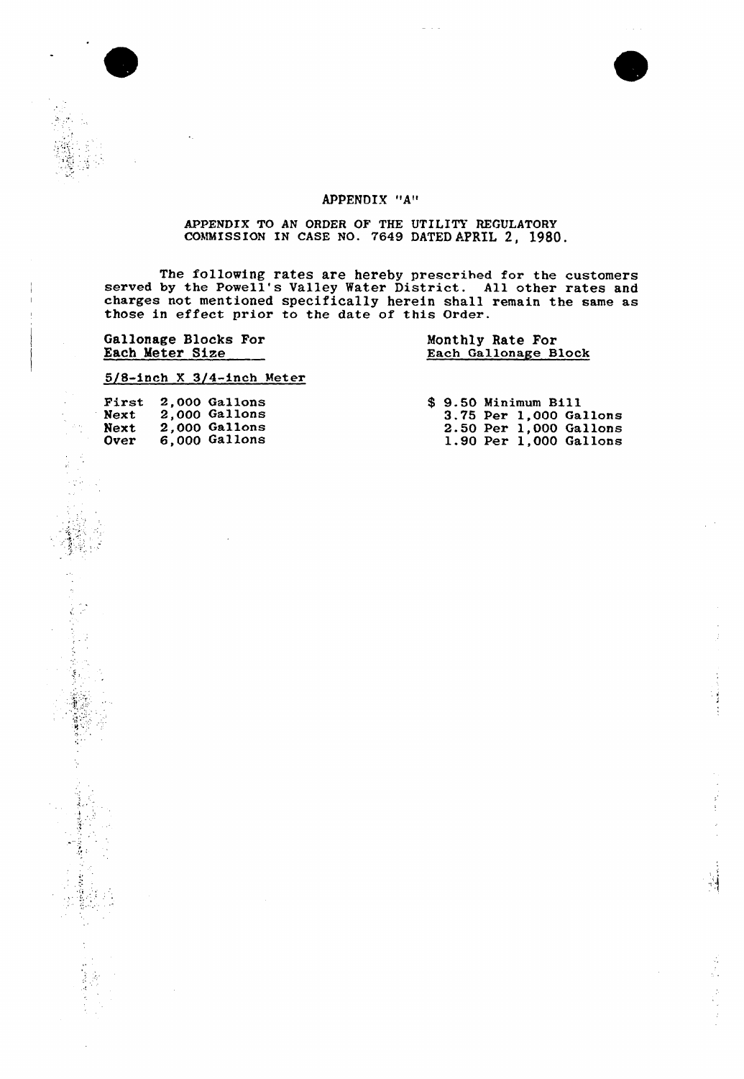j

## APPENDIX "A"

## APPENDIX TO AN ORDER OF THE UTILITY REGULATORY COMMISSION IN CASE NO. 7649 DATED APRIL 2, 1980.

The following rates are hereby prescribed for the customer served by the Powell's Valley Water District. All other rates and charges not mentioned specifically herein shall remain the same as those in effect prior to the date of this Order.

Gallonage Blocks For Each Meter Size

Ç. ķ,

しょうどう

 $\mathcal{L}_{\text{max}}$ 

## Monthly Rate For Each Gallonage Block

#### 5/8-inch <sup>X</sup> 3/4-inch Meter

| Next        | First 2.000 Gallons<br>Next 2,000 Gallons<br>2.000 Gallons<br>6,000 Gallons | \$ 9.50 Minimum Bill<br>3.75 Per 1,000 Gallon<br>2.50 Per 1.000 Gallon |
|-------------|-----------------------------------------------------------------------------|------------------------------------------------------------------------|
| <b>Over</b> |                                                                             | 1.90 Per 1,000 Gallon                                                  |